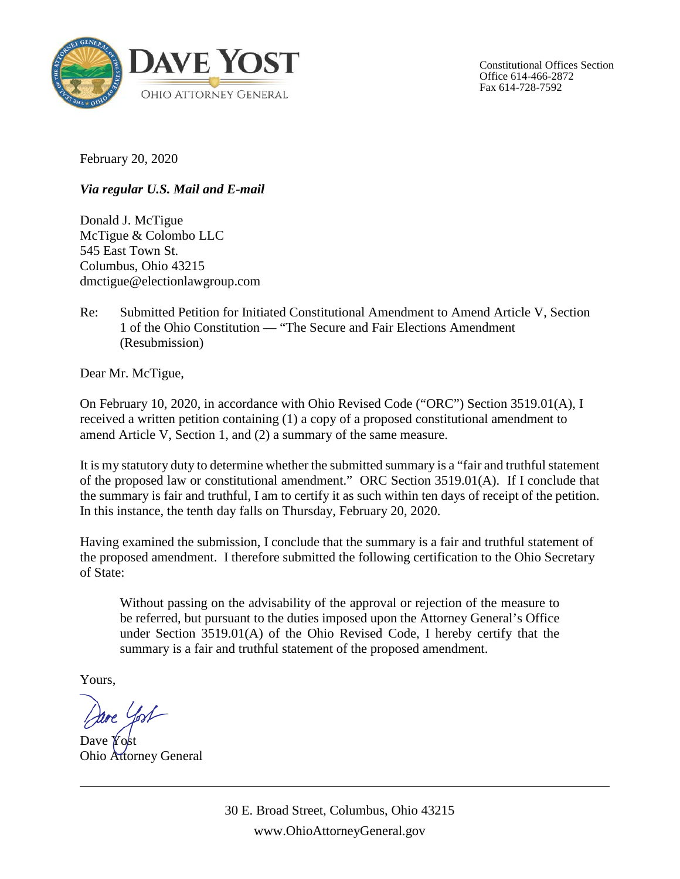

Constitutional Offices Section Office 614-466-2872 Fax 614-728-7592

February 20, 2020

*Via regular U.S. Mail and E-mail*

Donald J. McTigue McTigue & Colombo LLC 545 East Town St. Columbus, Ohio 43215 dmctigue@electionlawgroup.com

Re: Submitted Petition for Initiated Constitutional Amendment to Amend Article V, Section 1 of the Ohio Constitution — "The Secure and Fair Elections Amendment (Resubmission)

Dear Mr. McTigue,

On February 10, 2020, in accordance with Ohio Revised Code ("ORC") Section 3519.01(A), I received a written petition containing (1) a copy of a proposed constitutional amendment to amend Article V, Section 1, and (2) a summary of the same measure.

It is my statutory duty to determine whether the submitted summary is a "fair and truthful statement of the proposed law or constitutional amendment." ORC Section 3519.01(A). If I conclude that the summary is fair and truthful, I am to certify it as such within ten days of receipt of the petition. In this instance, the tenth day falls on Thursday, February 20, 2020.

Having examined the submission, I conclude that the summary is a fair and truthful statement of the proposed amendment. I therefore submitted the following certification to the Ohio Secretary of State:

Without passing on the advisability of the approval or rejection of the measure to be referred, but pursuant to the duties imposed upon the Attorney General's Office under Section 3519.01(A) of the Ohio Revised Code, I hereby certify that the summary is a fair and truthful statement of the proposed amendment.

Yours,

re Yost

Dave Yost Ohio Attorney General

30 E. Broad Street, Columbus, Ohio 43215 www.OhioAttorneyGeneral.gov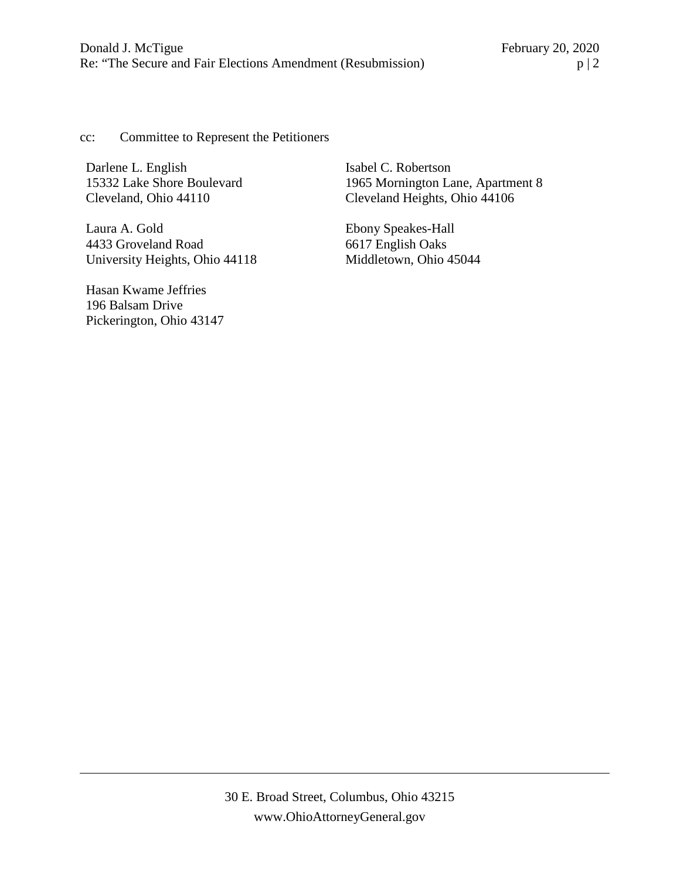cc: Committee to Represent the Petitioners

Darlene L. English 15332 Lake Shore Boulevard Cleveland, Ohio 44110

Laura A. Gold 4433 Groveland Road University Heights, Ohio 44118

Hasan Kwame Jeffries 196 Balsam Drive Pickerington, Ohio 43147 Isabel C. Robertson 1965 Mornington Lane, Apartment 8 Cleveland Heights, Ohio 44106

Ebony Speakes-Hall 6617 English Oaks Middletown, Ohio 45044